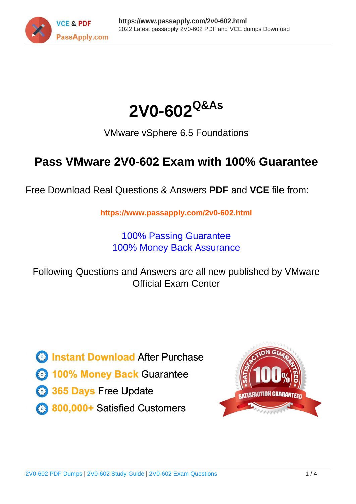



VMware vSphere 6.5 Foundations

# **Pass VMware 2V0-602 Exam with 100% Guarantee**

Free Download Real Questions & Answers **PDF** and **VCE** file from:

**https://www.passapply.com/2v0-602.html**

100% Passing Guarantee 100% Money Back Assurance

Following Questions and Answers are all new published by VMware Official Exam Center

**C** Instant Download After Purchase

**83 100% Money Back Guarantee** 

- 365 Days Free Update
- 800,000+ Satisfied Customers

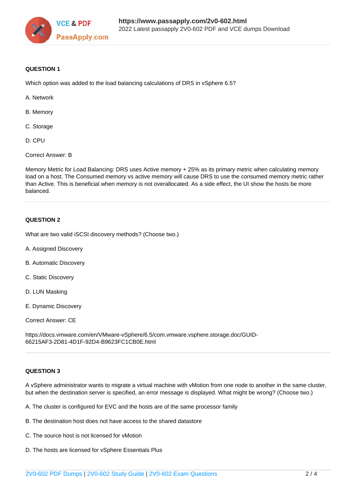

### **QUESTION 1**

Which option was added to the load balancing calculations of DRS in vSphere 6.5?

- A. Network
- B. Memory
- C. Storage
- D. CPU

Correct Answer: B

Memory Metric for Load Balancing: DRS uses Active memory + 25% as its primary metric when calculating memory load on a host. The Consumed memory vs active memory will cause DRS to use the consumed memory metric rather than Active. This is beneficial when memory is not overallocated. As a side effect, the UI show the hosts be more balanced.

### **QUESTION 2**

What are two valid iSCSI discovery methods? (Choose two.)

- A. Assigned Discovery
- B. Automatic Discovery
- C. Static Discovery
- D. LUN Masking
- E. Dynamic Discovery

Correct Answer: CE

https://docs.vmware.com/en/VMware-vSphere/6.5/com.vmware.vsphere.storage.doc/GUID-66215AF3-2D81-4D1F-92D4-B9623FC1CB0E.html

### **QUESTION 3**

A vSphere administrator wants to migrate a virtual machine with vMotion from one node to another in the same cluster, but when the destination server is specified, an error message is displayed. What might be wrong? (Choose two.)

A. The cluster is configured for EVC and the hosts are of the same processor family

- B. The destination host does not have access to the shared datastore
- C. The source host is not licensed for vMotion
- D. The hosts are licensed for vSphere Essentials Plus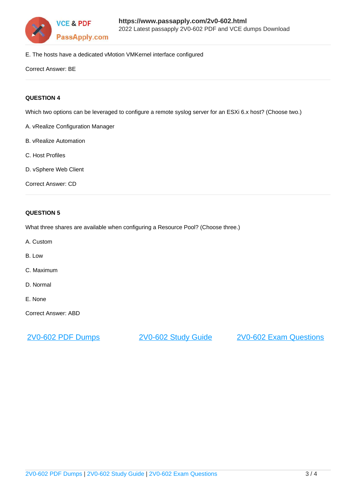

E. The hosts have a dedicated vMotion VMKernel interface configured

Correct Answer: BE

### **QUESTION 4**

Which two options can be leveraged to configure a remote syslog server for an ESXi 6.x host? (Choose two.)

- A. vRealize Configuration Manager
- B. vRealize Automation
- C. Host Profiles
- D. vSphere Web Client
- Correct Answer: CD

### **QUESTION 5**

What three shares are available when configuring a Resource Pool? (Choose three.)

- A. Custom
- B. Low
- C. Maximum
- D. Normal
- E. None

Correct Answer: ABD

[2V0-602 PDF Dumps](https://www.passapply.com/2v0-602.html) [2V0-602 Study Guide](https://www.passapply.com/2v0-602.html) [2V0-602 Exam Questions](https://www.passapply.com/2v0-602.html)